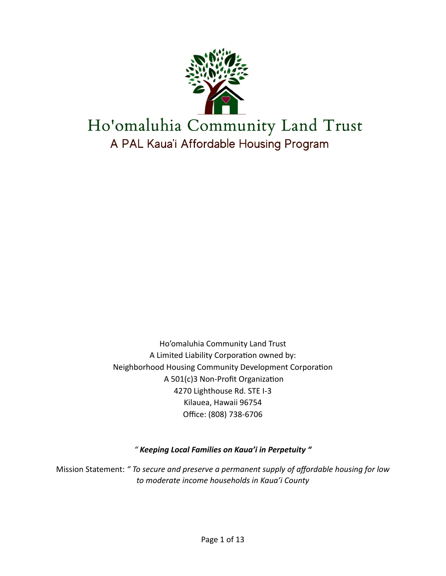

Ho'omaluhia Community Land Trust A Limited Liability Corporation owned by: Neighborhood Housing Community Development Corporation A 501(c)3 Non-Profit Organization 4270 Lighthouse Rd. STE I-3 Kilauea, Hawaii 96754 Office: (808) 738-6706

*" Keeping Local Families on Kaua'i in Perpetuity "* 

Mission Statement: *" To secure and preserve a permanent supply of affordable housing for low to moderate income households in Kaua'i County*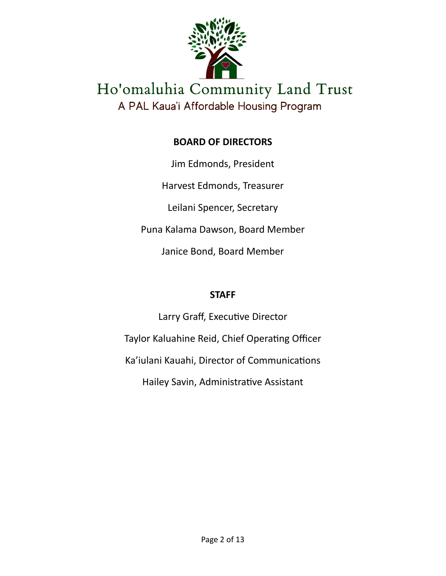

# **BOARD OF DIRECTORS**

Jim Edmonds, President Harvest Edmonds, Treasurer Leilani Spencer, Secretary Puna Kalama Dawson, Board Member Janice Bond, Board Member

# **STAFF**

Larry Graff, Executive Director Taylor Kaluahine Reid, Chief Operating Officer Ka'iulani Kauahi, Director of Communications Hailey Savin, Administrative Assistant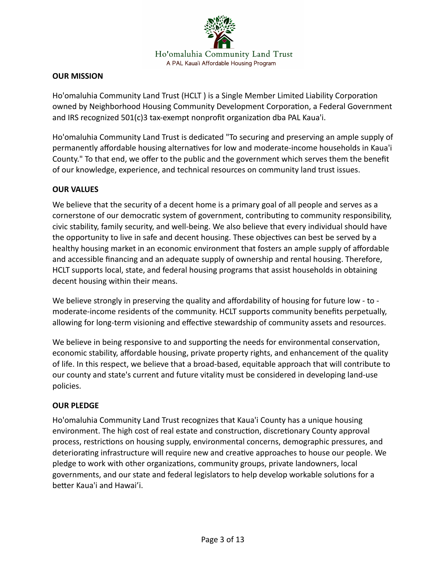

## **OUR MISSION**

Ho'omaluhia Community Land Trust (HCLT ) is a Single Member Limited Liability Corporation owned by Neighborhood Housing Community Development Corporation, a Federal Government and IRS recognized 501(c)3 tax-exempt nonprofit organization dba PAL Kaua'i.

Ho'omaluhia Community Land Trust is dedicated "To securing and preserving an ample supply of permanently affordable housing alternatives for low and moderate-income households in Kaua'i County." To that end, we offer to the public and the government which serves them the benefit of our knowledge, experience, and technical resources on community land trust issues.

## **OUR VALUES**

We believe that the security of a decent home is a primary goal of all people and serves as a cornerstone of our democratic system of government, contributing to community responsibility, civic stability, family security, and well-being. We also believe that every individual should have the opportunity to live in safe and decent housing. These objectives can best be served by a healthy housing market in an economic environment that fosters an ample supply of affordable and accessible financing and an adequate supply of ownership and rental housing. Therefore, HCLT supports local, state, and federal housing programs that assist households in obtaining decent housing within their means.

We believe strongly in preserving the quality and affordability of housing for future low - to moderate-income residents of the community. HCLT supports community benefits perpetually, allowing for long-term visioning and effective stewardship of community assets and resources.

We believe in being responsive to and supporting the needs for environmental conservation, economic stability, affordable housing, private property rights, and enhancement of the quality of life. In this respect, we believe that a broad-based, equitable approach that will contribute to our county and state's current and future vitality must be considered in developing land-use policies.

## **OUR PLEDGE**

Ho'omaluhia Community Land Trust recognizes that Kaua'i County has a unique housing environment. The high cost of real estate and construction, discretionary County approval process, restrictions on housing supply, environmental concerns, demographic pressures, and deteriorating infrastructure will require new and creative approaches to house our people. We pledge to work with other organizations, community groups, private landowners, local governments, and our state and federal legislators to help develop workable solutions for a better Kaua'i and Hawai'i.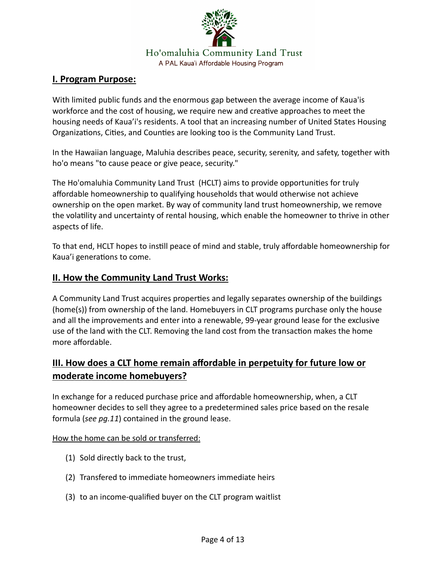

## **I. Program Purpose:**

With limited public funds and the enormous gap between the average income of Kaua'is workforce and the cost of housing, we require new and creative approaches to meet the housing needs of Kaua'i's residents. A tool that an increasing number of United States Housing Organizations, Cities, and Counties are looking too is the Community Land Trust.

In the Hawaiian language, Maluhia describes peace, security, serenity, and safety, together with ho'o means "to cause peace or give peace, security."

The Ho'omaluhia Community Land Trust (HCLT) aims to provide opportunities for truly affordable homeownership to qualifying households that would otherwise not achieve ownership on the open market. By way of community land trust homeownership, we remove the volatility and uncertainty of rental housing, which enable the homeowner to thrive in other aspects of life.

To that end, HCLT hopes to instill peace of mind and stable, truly affordable homeownership for Kaua'i generations to come.

## **II. How the Community Land Trust Works:**

A Community Land Trust acquires properties and legally separates ownership of the buildings (home(s)) from ownership of the land. Homebuyers in CLT programs purchase only the house and all the improvements and enter into a renewable, 99-year ground lease for the exclusive use of the land with the CLT. Removing the land cost from the transaction makes the home more affordable.

# **III. How does a CLT home remain affordable in perpetuity for future low or moderate income homebuyers?**

In exchange for a reduced purchase price and affordable homeownership, when, a CLT homeowner decides to sell they agree to a predetermined sales price based on the resale formula (*see pg.11*) contained in the ground lease.

## How the home can be sold or transferred:

- (1) Sold directly back to the trust,
- (2) Transfered to immediate homeowners immediate heirs
- (3) to an income-qualified buyer on the CLT program waitlist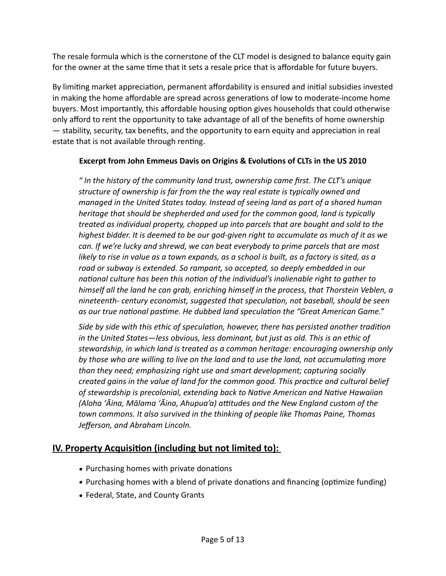The resale formula which is the cornerstone of the CLT model is designed to balance equity gain for the owner at the same time that it sets a resale price that is affordable for future buyers.

By limiting market appreciation, permanent affordability is ensured and initial subsidies invested in making the home affordable are spread across generations of low to moderate-income home buyers. Most importantly, this affordable housing option gives households that could otherwise only afford to rent the opportunity to take advantage of all of the benefits of home ownership — stability, security, tax benefits, and the opportunity to earn equity and appreciation in real estate that is not available through renting.

## **Excerpt from John Emmeus Davis on Origins & Evolutions of CLTs in the US 2010**

*" In the history of the community land trust, ownership came first. The CLT's unique structure of ownership is far from the the way real estate is typically owned and managed in the United States today. Instead of seeing land as part of a shared human heritage that should be shepherded and used for the common good, land is typically treated as individual property, chopped up into parcels that are bought and sold to the highest bidder. It is deemed to be our god-given right to accumulate as much of it as we can. If we're lucky and shrewd, we can beat everybody to prime parcels that are most likely to rise in value as a town expands, as a school is built, as a factory is sited, as a road or subway is extended. So rampant, so accepted, so deeply embedded in our national culture has been this notion of the individual's inalienable right to gather to himself all the land he can grab, enriching himself in the process, that Thorstein Veblen, a nineteenth- century economist, suggested that speculation, not baseball, should be seen as our true national pastime. He dubbed land speculation the "Great American Game."* 

*Side by side with this ethic of speculation, however, there has persisted another tradition in the United States—less obvious, less dominant, but just as old. This is an ethic of stewardship, in which land is treated as a common heritage: encouraging ownership only by those who are willing to live on the land and to use the land, not accumulating more than they need; emphasizing right use and smart development; capturing socially created gains in the value of land for the common good. This practice and cultural belief of stewardship is precolonial, extending back to Native American and Native Hawaiian (Aloha ʻĀina, Mālama ʻĀina, Ahupua'a) attitudes and the New England custom of the town commons. It also survived in the thinking of people like Thomas Paine, Thomas Jefferson, and Abraham Lincoln.*

## **IV. Property Acquisition (including but not limited to):**

- Purchasing homes with private donations
- Purchasing homes with a blend of private donations and financing (optimize funding)
- Federal, State, and County Grants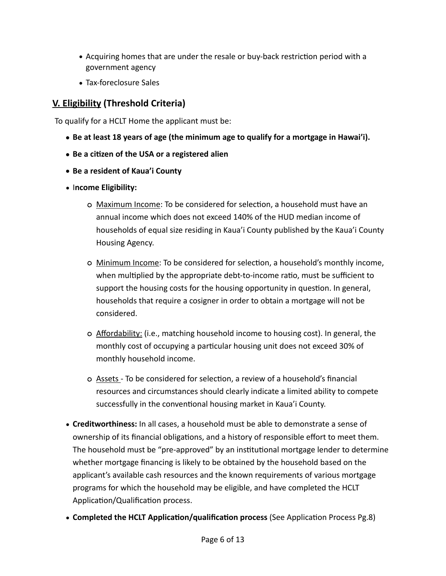- Acquiring homes that are under the resale or buy-back restriction period with a government agency
- Tax-foreclosure Sales

# **V. Eligibility (Threshold Criteria)**

To qualify for a HCLT Home the applicant must be:

- **• Be at least 18 years of age (the minimum age to qualify for a mortgage in Hawai'i).**
- **• Be a citizen of the USA or a registered alien**
- **• Be a resident of Kaua'i County**
- I**ncome Eligibility:** 
	- Maximum Income: To be considered for selection, a household must have an annual income which does not exceed 140% of the HUD median income of households of equal size residing in Kaua'i County published by the Kaua'i County Housing Agency.
	- Minimum Income: To be considered for selection, a household's monthly income, when multiplied by the appropriate debt-to-income ratio, must be sufficient to support the housing costs for the housing opportunity in question. In general, households that require a cosigner in order to obtain a mortgage will not be considered.
	- Affordability: (i.e., matching household income to housing cost). In general, the monthly cost of occupying a particular housing unit does not exceed 30% of monthly household income.
	- Assets To be considered for selection, a review of a household's financial resources and circumstances should clearly indicate a limited ability to compete successfully in the conventional housing market in Kaua'i County.
- **Creditworthiness:** In all cases, a household must be able to demonstrate a sense of ownership of its financial obligations, and a history of responsible effort to meet them. The household must be "pre-approved" by an institutional mortgage lender to determine whether mortgage financing is likely to be obtained by the household based on the applicant's available cash resources and the known requirements of various mortgage programs for which the household may be eligible, and have completed the HCLT Application/Qualification process.
- **Completed the HCLT Application/qualification process** (See Application Process Pg.8)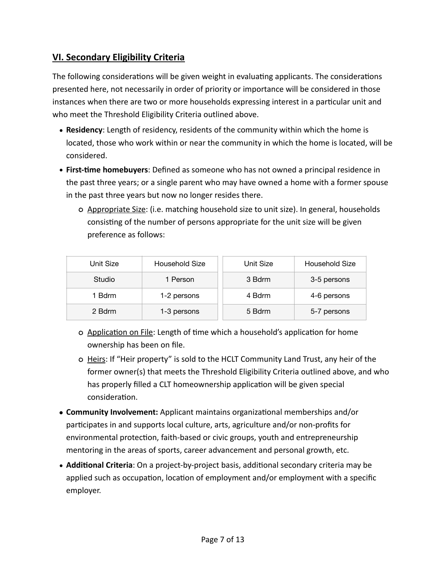## **VI. Secondary Eligibility Criteria**

The following considerations will be given weight in evaluating applicants. The considerations presented here, not necessarily in order of priority or importance will be considered in those instances when there are two or more households expressing interest in a particular unit and who meet the Threshold Eligibility Criteria outlined above.

- **Residency**: Length of residency, residents of the community within which the home is located, those who work within or near the community in which the home is located, will be considered.
- **First-time homebuyers**: Defined as someone who has not owned a principal residence in the past three years; or a single parent who may have owned a home with a former spouse in the past three years but now no longer resides there.
	- Appropriate Size: (i.e. matching household size to unit size). In general, households consisting of the number of persons appropriate for the unit size will be given preference as follows:

| Unit Size | Household Size | Unit Size | Household Size |
|-----------|----------------|-----------|----------------|
| Studio    | 1 Person       | 3 Bdrm    | 3-5 persons    |
| 1 Bdrm    | 1-2 persons    | 4 Bdrm    | 4-6 persons    |
| 2 Bdrm    | 1-3 persons    | 5 Bdrm    | 5-7 persons    |

- Application on File: Length of time which a household's application for home ownership has been on file.
- o Heirs: If "Heir property" is sold to the HCLT Community Land Trust, any heir of the former owner(s) that meets the Threshold Eligibility Criteria outlined above, and who has properly filled a CLT homeownership application will be given special consideration.
- **• Community Involvement:** Applicant maintains organizational memberships and/or participates in and supports local culture, arts, agriculture and/or non-profits for environmental protection, faith-based or civic groups, youth and entrepreneurship mentoring in the areas of sports, career advancement and personal growth, etc.
- **Additional Criteria**: On a project-by-project basis, additional secondary criteria may be applied such as occupation, location of employment and/or employment with a specific employer.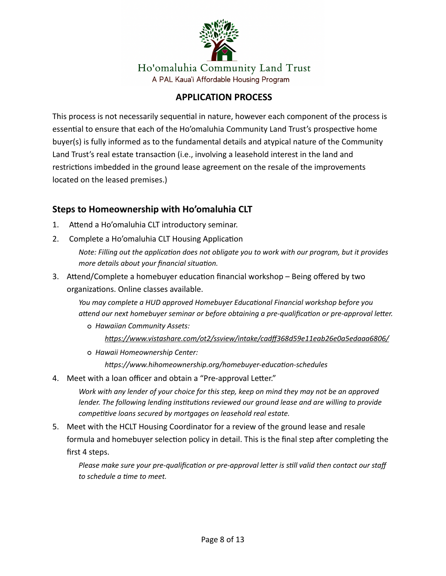

## **APPLICATION PROCESS**

This process is not necessarily sequential in nature, however each component of the process is essential to ensure that each of the Ho'omaluhia Community Land Trust's prospective home buyer(s) is fully informed as to the fundamental details and atypical nature of the Community Land Trust's real estate transaction (i.e., involving a leasehold interest in the land and restrictions imbedded in the ground lease agreement on the resale of the improvements located on the leased premises.)

## **Steps to Homeownership with Ho'omaluhia CLT**

- 1. Attend a Ho'omaluhia CLT introductory seminar.
- 2. Complete a Ho'omaluhia CLT Housing Application

*Note: Filling out the application does not obligate you to work with our program, but it provides more details about your financial situation.*

3. Attend/Complete a homebuyer education financial workshop – Being offered by two organizations. Online classes available.

*You may complete a HUD approved Homebuyer Educational Financial workshop before you attend our next homebuyer seminar or before obtaining a pre-qualification or pre-approval letter.*

*Hawaiian Community Assets:*

*<https://www.vistashare.com/ot2/ssview/intake/cadff368d59e11eab26e0a5edaaa6806/>*

*Hawaii Homeownership Center:*

*https://www.hihomeownership.org/homebuyer-education-schedules*

4. Meet with a loan officer and obtain a "Pre-approval Letter."

*Work with any lender of your choice for this step, keep on mind they may not be an approved*  lender. The following lending institutions reviewed our ground lease and are willing to provide *competitive loans secured by mortgages on leasehold real estate.*

5. Meet with the HCLT Housing Coordinator for a review of the ground lease and resale formula and homebuyer selection policy in detail. This is the final step after completing the first 4 steps.

*Please make sure your pre-qualification or pre-approval letter is still valid then contact our staff to schedule a time to meet.*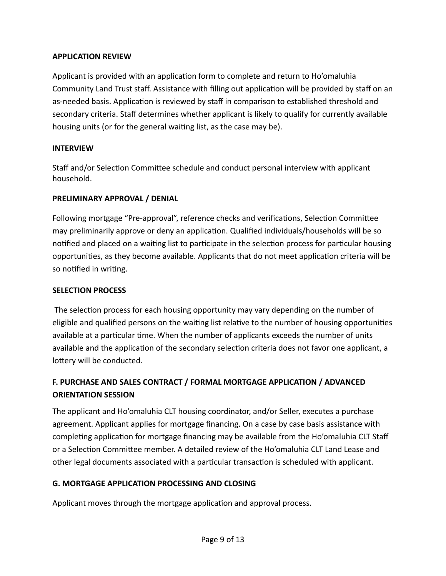## **APPLICATION REVIEW**

Applicant is provided with an application form to complete and return to Ho'omaluhia Community Land Trust staff. Assistance with filling out application will be provided by staff on an as-needed basis. Application is reviewed by staff in comparison to established threshold and secondary criteria. Staff determines whether applicant is likely to qualify for currently available housing units (or for the general waiting list, as the case may be).

#### **INTERVIEW**

Staff and/or Selection Committee schedule and conduct personal interview with applicant household.

#### **PRELIMINARY APPROVAL / DENIAL**

Following mortgage "Pre-approval", reference checks and verifications, Selection Committee may preliminarily approve or deny an application. Qualified individuals/households will be so notified and placed on a waiting list to participate in the selection process for particular housing opportunities, as they become available. Applicants that do not meet application criteria will be so notified in writing.

#### **SELECTION PROCESS**

 The selection process for each housing opportunity may vary depending on the number of eligible and qualified persons on the waiting list relative to the number of housing opportunities available at a particular time. When the number of applicants exceeds the number of units available and the application of the secondary selection criteria does not favor one applicant, a lottery will be conducted.

## **F. PURCHASE AND SALES CONTRACT / FORMAL MORTGAGE APPLICATION / ADVANCED ORIENTATION SESSION**

The applicant and Ho'omaluhia CLT housing coordinator, and/or Seller, executes a purchase agreement. Applicant applies for mortgage financing. On a case by case basis assistance with completing application for mortgage financing may be available from the Ho'omaluhia CLT Staff or a Selection Committee member. A detailed review of the Ho'omaluhia CLT Land Lease and other legal documents associated with a particular transaction is scheduled with applicant.

## **G. MORTGAGE APPLICATION PROCESSING AND CLOSING**

Applicant moves through the mortgage application and approval process.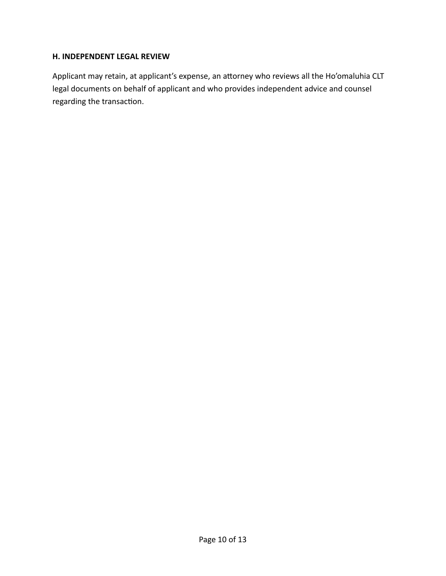#### **H. INDEPENDENT LEGAL REVIEW**

Applicant may retain, at applicant's expense, an attorney who reviews all the Ho'omaluhia CLT legal documents on behalf of applicant and who provides independent advice and counsel regarding the transaction.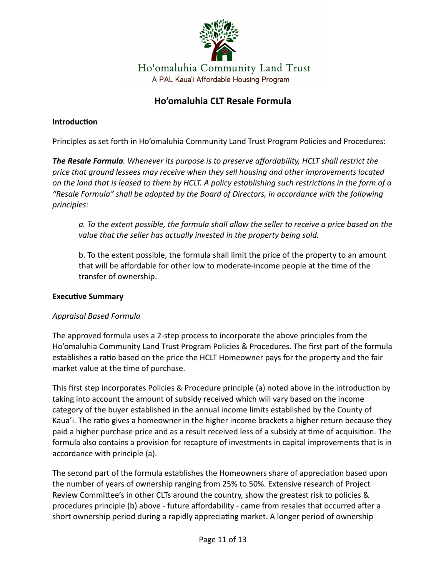

# **Ho'omaluhia CLT Resale Formula**

## **Introduction**

Principles as set forth in Ho'omaluhia Community Land Trust Program Policies and Procedures:

*The Resale Formula. Whenever its purpose is to preserve affordability, HCLT shall restrict the price that ground lessees may receive when they sell housing and other improvements located on the land that is leased to them by HCLT. A policy establishing such restrictions in the form of a "Resale Formula" shall be adopted by the Board of Directors, in accordance with the following principles:* 

*a. To the extent possible, the formula shall allow the seller to receive a price based on the value that the seller has actually invested in the property being sold.* 

b. To the extent possible, the formula shall limit the price of the property to an amount that will be affordable for other low to moderate-income people at the time of the transfer of ownership.

## **Executive Summary**

## *Appraisal Based Formula*

The approved formula uses a 2-step process to incorporate the above principles from the Ho'omaluhia Community Land Trust Program Policies & Procedures. The first part of the formula establishes a ratio based on the price the HCLT Homeowner pays for the property and the fair market value at the time of purchase.

This first step incorporates Policies & Procedure principle (a) noted above in the introduction by taking into account the amount of subsidy received which will vary based on the income category of the buyer established in the annual income limits established by the County of Kaua'i. The ratio gives a homeowner in the higher income brackets a higher return because they paid a higher purchase price and as a result received less of a subsidy at time of acquisition. The formula also contains a provision for recapture of investments in capital improvements that is in accordance with principle (a).

The second part of the formula establishes the Homeowners share of appreciation based upon the number of years of ownership ranging from 25% to 50%. Extensive research of Project Review Committee's in other CLTs around the country, show the greatest risk to policies & procedures principle (b) above - future affordability - came from resales that occurred after a short ownership period during a rapidly appreciating market. A longer period of ownership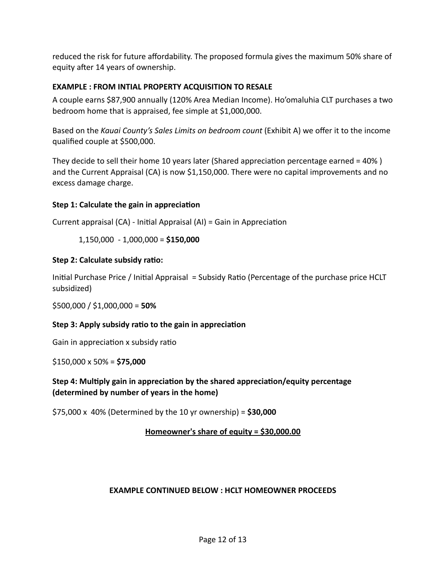reduced the risk for future affordability. The proposed formula gives the maximum 50% share of equity after 14 years of ownership.

## **EXAMPLE : FROM INTIAL PROPERTY ACQUISITION TO RESALE**

A couple earns \$87,900 annually (120% Area Median Income). Ho'omaluhia CLT purchases a two bedroom home that is appraised, fee simple at \$1,000,000.

Based on the *Kauai County's Sales Limits on bedroom count* (Exhibit A) we offer it to the income qualified couple at \$500,000.

They decide to sell their home 10 years later (Shared appreciation percentage earned = 40% ) and the Current Appraisal (CA) is now \$1,150,000. There were no capital improvements and no excess damage charge.

## **Step 1: Calculate the gain in appreciation**

Current appraisal (CA) - Initial Appraisal (AI) = Gain in Appreciation

1,150,000 - 1,000,000 = **\$150,000** 

## **Step 2: Calculate subsidy ratio:**

Initial Purchase Price / Initial Appraisal = Subsidy Ratio (Percentage of the purchase price HCLT subsidized)

\$500,000 / \$1,000,000 = **50%**

## **Step 3: Apply subsidy ratio to the gain in appreciation**

Gain in appreciation x subsidy ratio

\$150,000 x 50% = **\$75,000**

**Step 4: Multiply gain in appreciation by the shared appreciation/equity percentage (determined by number of years in the home)**

\$75,000 x 40% (Determined by the 10 yr ownership) = **\$30,000**

## **Homeowner's share of equity = \$30,000.00**

## **EXAMPLE CONTINUED BELOW : HCLT HOMEOWNER PROCEEDS**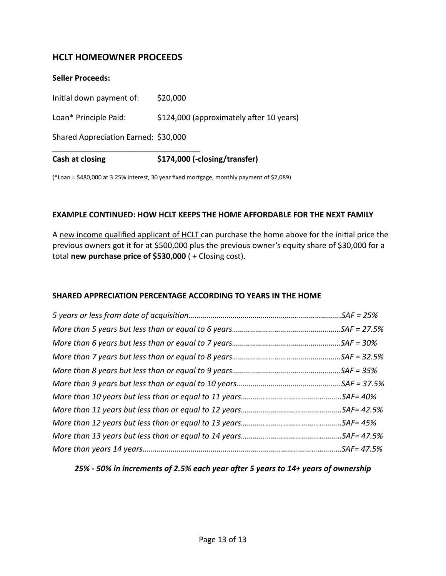## **HCLT HOMEOWNER PROCEEDS**

| Cash at closing                      | \$174,000 (-closing/transfer)            |
|--------------------------------------|------------------------------------------|
| Shared Appreciation Earned: \$30,000 |                                          |
| Loan* Principle Paid:                | \$124,000 (approximately after 10 years) |
| Initial down payment of:             | \$20,000                                 |
| <b>Seller Proceeds:</b>              |                                          |

(\*Loan = \$480,000 at 3.25% interest, 30 year fixed mortgage, monthly payment of \$2,089)

#### **EXAMPLE CONTINUED: HOW HCLT KEEPS THE HOME AFFORDABLE FOR THE NEXT FAMILY**

A new income qualified applicant of HCLT can purchase the home above for the initial price the previous owners got it for at \$500,000 plus the previous owner's equity share of \$30,000 for a total **new purchase price of \$530,000** ( + Closing cost).

#### **SHARED APPRECIATION PERCENTAGE ACCORDING TO YEARS IN THE HOME**

#### *25% - 50% in increments of 2.5% each year after 5 years to 14+ years of ownership*